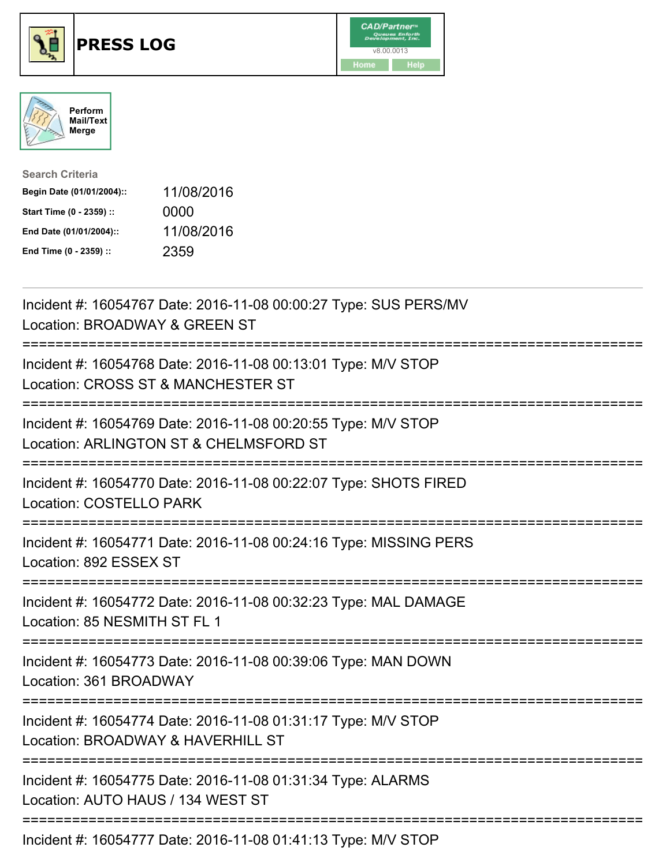





| <b>Search Criteria</b>    |            |
|---------------------------|------------|
| Begin Date (01/01/2004):: | 11/08/2016 |
| Start Time (0 - 2359) ::  | 0000       |
| End Date (01/01/2004)::   | 11/08/2016 |
| End Time (0 - 2359) ::    | 2359       |

| Incident #: 16054767 Date: 2016-11-08 00:00:27 Type: SUS PERS/MV<br>Location: BROADWAY & GREEN ST                                     |
|---------------------------------------------------------------------------------------------------------------------------------------|
| Incident #: 16054768 Date: 2016-11-08 00:13:01 Type: M/V STOP<br>Location: CROSS ST & MANCHESTER ST                                   |
| Incident #: 16054769 Date: 2016-11-08 00:20:55 Type: M/V STOP<br>Location: ARLINGTON ST & CHELMSFORD ST                               |
| Incident #: 16054770 Date: 2016-11-08 00:22:07 Type: SHOTS FIRED<br><b>Location: COSTELLO PARK</b>                                    |
| Incident #: 16054771 Date: 2016-11-08 00:24:16 Type: MISSING PERS<br>Location: 892 ESSEX ST<br>====================================   |
| Incident #: 16054772 Date: 2016-11-08 00:32:23 Type: MAL DAMAGE<br>Location: 85 NESMITH ST FL 1                                       |
| Incident #: 16054773 Date: 2016-11-08 00:39:06 Type: MAN DOWN<br>Location: 361 BROADWAY                                               |
| Incident #: 16054774 Date: 2016-11-08 01:31:17 Type: M/V STOP<br>Location: BROADWAY & HAVERHILL ST<br>=============================== |
| Incident #: 16054775 Date: 2016-11-08 01:31:34 Type: ALARMS<br>Location: AUTO HAUS / 134 WEST ST                                      |
| Incident #: 16054777 Date: 2016-11-08 01:41:13 Type: M/V STOP                                                                         |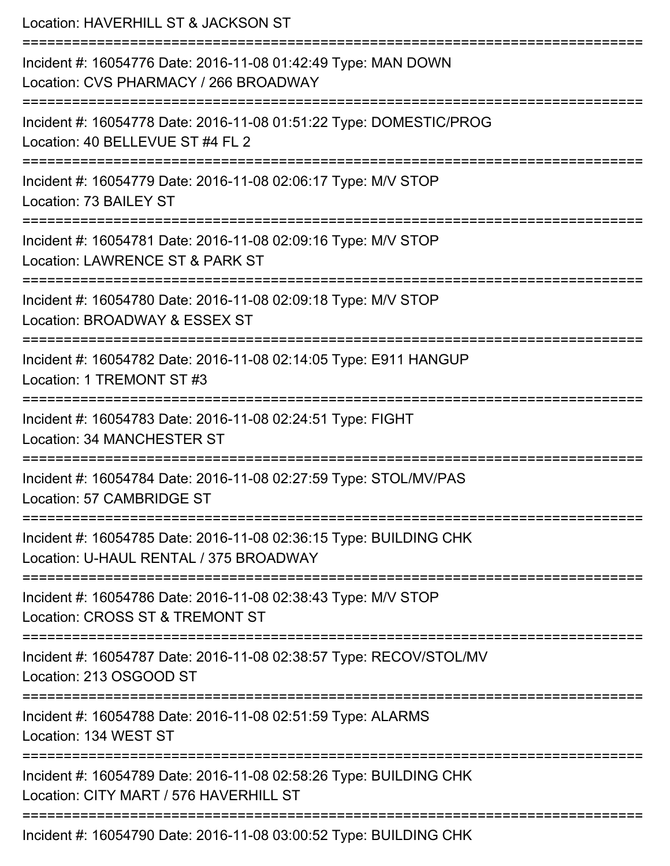| Location: HAVERHILL ST & JACKSON ST<br>;===============================                                                             |
|-------------------------------------------------------------------------------------------------------------------------------------|
| Incident #: 16054776 Date: 2016-11-08 01:42:49 Type: MAN DOWN<br>Location: CVS PHARMACY / 266 BROADWAY<br>------------------------  |
| Incident #: 16054778 Date: 2016-11-08 01:51:22 Type: DOMESTIC/PROG<br>Location: 40 BELLEVUE ST #4 FL 2                              |
| Incident #: 16054779 Date: 2016-11-08 02:06:17 Type: M/V STOP<br>Location: 73 BAILEY ST                                             |
| -------------------------------<br>Incident #: 16054781 Date: 2016-11-08 02:09:16 Type: M/V STOP<br>Location: LAWRENCE ST & PARK ST |
| Incident #: 16054780 Date: 2016-11-08 02:09:18 Type: M/V STOP<br>Location: BROADWAY & ESSEX ST                                      |
| -------------------------<br>Incident #: 16054782 Date: 2016-11-08 02:14:05 Type: E911 HANGUP<br>Location: 1 TREMONT ST #3          |
| Incident #: 16054783 Date: 2016-11-08 02:24:51 Type: FIGHT<br><b>Location: 34 MANCHESTER ST</b>                                     |
| Incident #: 16054784 Date: 2016-11-08 02:27:59 Type: STOL/MV/PAS<br>Location: 57 CAMBRIDGE ST                                       |
| Incident #: 16054785 Date: 2016-11-08 02:36:15 Type: BUILDING CHK<br>Location: U-HAUL RENTAL / 375 BROADWAY                         |
| Incident #: 16054786 Date: 2016-11-08 02:38:43 Type: M/V STOP<br>Location: CROSS ST & TREMONT ST                                    |
| Incident #: 16054787 Date: 2016-11-08 02:38:57 Type: RECOV/STOL/MV<br>Location: 213 OSGOOD ST                                       |
| Incident #: 16054788 Date: 2016-11-08 02:51:59 Type: ALARMS<br>Location: 134 WEST ST                                                |
| Incident #: 16054789 Date: 2016-11-08 02:58:26 Type: BUILDING CHK<br>Location: CITY MART / 576 HAVERHILL ST                         |
| Incident #: 16054790 Date: 2016-11-08 03:00:52 Type: BUILDING CHK                                                                   |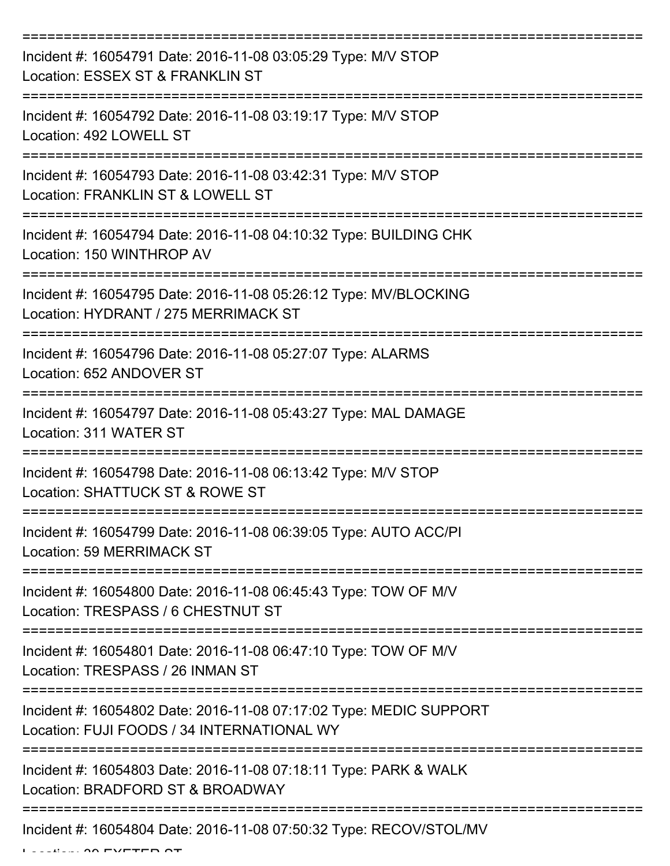| Incident #: 16054791 Date: 2016-11-08 03:05:29 Type: M/V STOP<br>Location: ESSEX ST & FRANKLIN ST                |
|------------------------------------------------------------------------------------------------------------------|
| Incident #: 16054792 Date: 2016-11-08 03:19:17 Type: M/V STOP<br>Location: 492 LOWELL ST                         |
| Incident #: 16054793 Date: 2016-11-08 03:42:31 Type: M/V STOP<br>Location: FRANKLIN ST & LOWELL ST               |
| Incident #: 16054794 Date: 2016-11-08 04:10:32 Type: BUILDING CHK<br>Location: 150 WINTHROP AV                   |
| Incident #: 16054795 Date: 2016-11-08 05:26:12 Type: MV/BLOCKING<br>Location: HYDRANT / 275 MERRIMACK ST         |
| Incident #: 16054796 Date: 2016-11-08 05:27:07 Type: ALARMS<br>Location: 652 ANDOVER ST                          |
| Incident #: 16054797 Date: 2016-11-08 05:43:27 Type: MAL DAMAGE<br>Location: 311 WATER ST                        |
| Incident #: 16054798 Date: 2016-11-08 06:13:42 Type: M/V STOP<br>Location: SHATTUCK ST & ROWE ST                 |
| Incident #: 16054799 Date: 2016-11-08 06:39:05 Type: AUTO ACC/PI<br><b>Location: 59 MERRIMACK ST</b>             |
| Incident #: 16054800 Date: 2016-11-08 06:45:43 Type: TOW OF M/V<br>Location: TRESPASS / 6 CHESTNUT ST            |
| Incident #: 16054801 Date: 2016-11-08 06:47:10 Type: TOW OF M/V<br>Location: TRESPASS / 26 INMAN ST              |
| Incident #: 16054802 Date: 2016-11-08 07:17:02 Type: MEDIC SUPPORT<br>Location: FUJI FOODS / 34 INTERNATIONAL WY |
| Incident #: 16054803 Date: 2016-11-08 07:18:11 Type: PARK & WALK<br>Location: BRADFORD ST & BROADWAY             |
| Incident #: 16054804 Date: 2016-11-08 07:50:32 Type: RECOV/STOL/MV                                               |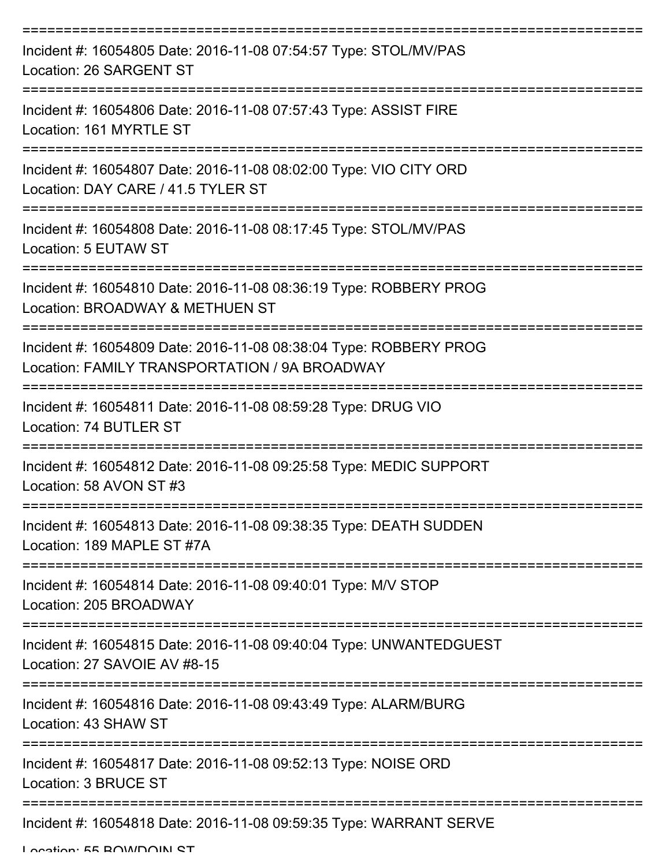| Incident #: 16054805 Date: 2016-11-08 07:54:57 Type: STOL/MV/PAS<br>Location: 26 SARGENT ST                        |
|--------------------------------------------------------------------------------------------------------------------|
| Incident #: 16054806 Date: 2016-11-08 07:57:43 Type: ASSIST FIRE<br>Location: 161 MYRTLE ST                        |
| Incident #: 16054807 Date: 2016-11-08 08:02:00 Type: VIO CITY ORD<br>Location: DAY CARE / 41.5 TYLER ST            |
| Incident #: 16054808 Date: 2016-11-08 08:17:45 Type: STOL/MV/PAS<br>Location: 5 EUTAW ST                           |
| Incident #: 16054810 Date: 2016-11-08 08:36:19 Type: ROBBERY PROG<br>Location: BROADWAY & METHUEN ST               |
| Incident #: 16054809 Date: 2016-11-08 08:38:04 Type: ROBBERY PROG<br>Location: FAMILY TRANSPORTATION / 9A BROADWAY |
| Incident #: 16054811 Date: 2016-11-08 08:59:28 Type: DRUG VIO<br>Location: 74 BUTLER ST                            |
| Incident #: 16054812 Date: 2016-11-08 09:25:58 Type: MEDIC SUPPORT<br>Location: 58 AVON ST #3                      |
| Incident #: 16054813 Date: 2016-11-08 09:38:35 Type: DEATH SUDDEN<br>Location: 189 MAPLE ST #7A                    |
| Incident #: 16054814 Date: 2016-11-08 09:40:01 Type: M/V STOP<br>Location: 205 BROADWAY                            |
| Incident #: 16054815 Date: 2016-11-08 09:40:04 Type: UNWANTEDGUEST<br>Location: 27 SAVOIE AV #8-15                 |
| Incident #: 16054816 Date: 2016-11-08 09:43:49 Type: ALARM/BURG<br>Location: 43 SHAW ST                            |
| Incident #: 16054817 Date: 2016-11-08 09:52:13 Type: NOISE ORD<br>Location: 3 BRUCE ST                             |
| Incident #: 16054818 Date: 2016-11-08 09:59:35 Type: WARRANT SERVE                                                 |

Location: EE BOWDOIN ST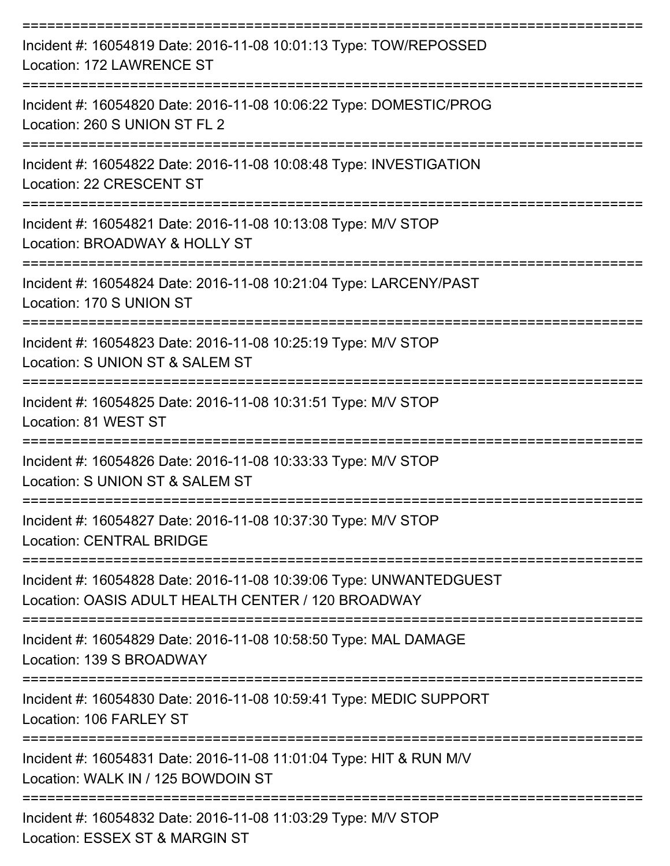| Incident #: 16054819 Date: 2016-11-08 10:01:13 Type: TOW/REPOSSED<br>Location: 172 LAWRENCE ST<br>:===================================== |
|------------------------------------------------------------------------------------------------------------------------------------------|
| Incident #: 16054820 Date: 2016-11-08 10:06:22 Type: DOMESTIC/PROG<br>Location: 260 S UNION ST FL 2<br>----------------                  |
| Incident #: 16054822 Date: 2016-11-08 10:08:48 Type: INVESTIGATION<br>Location: 22 CRESCENT ST                                           |
| Incident #: 16054821 Date: 2016-11-08 10:13:08 Type: M/V STOP<br>Location: BROADWAY & HOLLY ST                                           |
| Incident #: 16054824 Date: 2016-11-08 10:21:04 Type: LARCENY/PAST<br>Location: 170 S UNION ST                                            |
| Incident #: 16054823 Date: 2016-11-08 10:25:19 Type: M/V STOP<br>Location: S UNION ST & SALEM ST                                         |
| Incident #: 16054825 Date: 2016-11-08 10:31:51 Type: M/V STOP<br>Location: 81 WEST ST                                                    |
| Incident #: 16054826 Date: 2016-11-08 10:33:33 Type: M/V STOP<br>Location: S UNION ST & SALEM ST                                         |
| Incident #: 16054827 Date: 2016-11-08 10:37:30 Type: M/V STOP<br><b>Location: CENTRAL BRIDGE</b>                                         |
| Incident #: 16054828 Date: 2016-11-08 10:39:06 Type: UNWANTEDGUEST<br>Location: OASIS ADULT HEALTH CENTER / 120 BROADWAY                 |
| Incident #: 16054829 Date: 2016-11-08 10:58:50 Type: MAL DAMAGE<br>Location: 139 S BROADWAY                                              |
| Incident #: 16054830 Date: 2016-11-08 10:59:41 Type: MEDIC SUPPORT<br>Location: 106 FARLEY ST                                            |
| Incident #: 16054831 Date: 2016-11-08 11:01:04 Type: HIT & RUN M/V<br>Location: WALK IN / 125 BOWDOIN ST                                 |
| Incident #: 16054832 Date: 2016-11-08 11:03:29 Type: M/V STOP<br>Location: ESSEX ST & MARGIN ST                                          |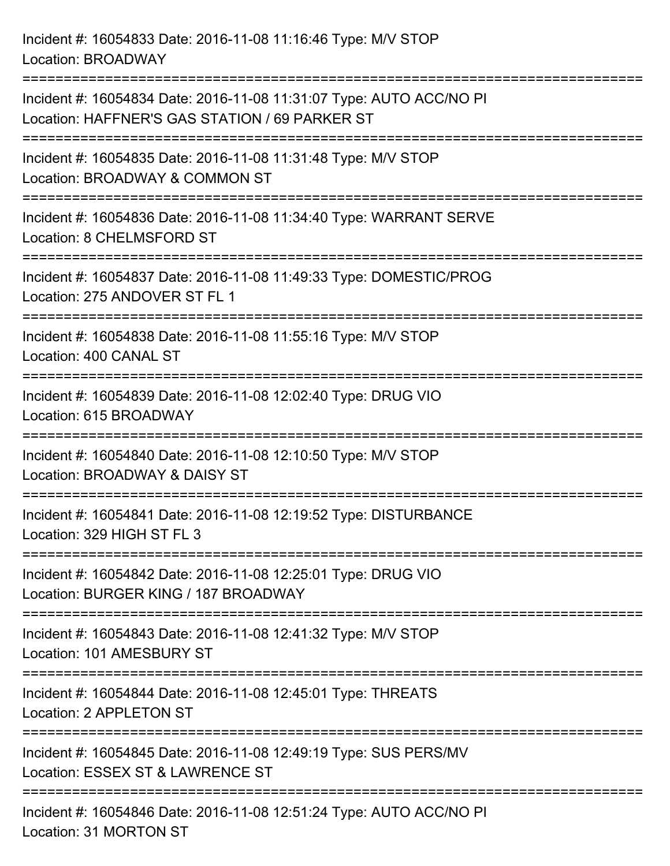Incident #: 16054833 Date: 2016-11-08 11:16:46 Type: M/V STOP Location: BROADWAY =========================================================================== Incident #: 16054834 Date: 2016-11-08 11:31:07 Type: AUTO ACC/NO PI Location: HAFFNER'S GAS STATION / 69 PARKER ST =========================================================================== Incident #: 16054835 Date: 2016-11-08 11:31:48 Type: M/V STOP Location: BROADWAY & COMMON ST =========================================================================== Incident #: 16054836 Date: 2016-11-08 11:34:40 Type: WARRANT SERVE Location: 8 CHELMSFORD ST =========================================================================== Incident #: 16054837 Date: 2016-11-08 11:49:33 Type: DOMESTIC/PROG Location: 275 ANDOVER ST FL 1 =========================================================================== Incident #: 16054838 Date: 2016-11-08 11:55:16 Type: M/V STOP Location: 400 CANAL ST =========================================================================== Incident #: 16054839 Date: 2016-11-08 12:02:40 Type: DRUG VIO Location: 615 BROADWAY =========================================================================== Incident #: 16054840 Date: 2016-11-08 12:10:50 Type: M/V STOP Location: BROADWAY & DAISY ST =========================================================================== Incident #: 16054841 Date: 2016-11-08 12:19:52 Type: DISTURBANCE Location: 329 HIGH ST FL 3 =========================================================================== Incident #: 16054842 Date: 2016-11-08 12:25:01 Type: DRUG VIO Location: BURGER KING / 187 BROADWAY =========================================================================== Incident #: 16054843 Date: 2016-11-08 12:41:32 Type: M/V STOP Location: 101 AMESBURY ST =========================================================================== Incident #: 16054844 Date: 2016-11-08 12:45:01 Type: THREATS Location: 2 APPLETON ST =========================================================================== Incident #: 16054845 Date: 2016-11-08 12:49:19 Type: SUS PERS/MV Location: ESSEX ST & LAWRENCE ST

===========================================================================

Incident #: 16054846 Date: 2016-11-08 12:51:24 Type: AUTO ACC/NO PI Location: 31 MORTON ST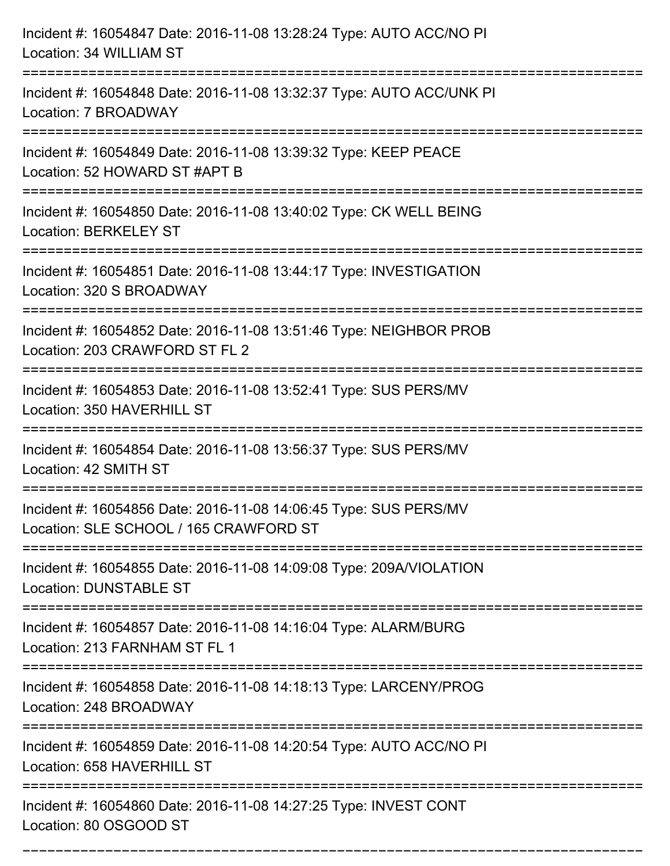| Incident #: 16054847 Date: 2016-11-08 13:28:24 Type: AUTO ACC/NO PI<br>Location: 34 WILLIAM ST                                           |
|------------------------------------------------------------------------------------------------------------------------------------------|
| Incident #: 16054848 Date: 2016-11-08 13:32:37 Type: AUTO ACC/UNK PI<br>Location: 7 BROADWAY                                             |
| Incident #: 16054849 Date: 2016-11-08 13:39:32 Type: KEEP PEACE<br>Location: 52 HOWARD ST #APT B<br>=========================            |
| Incident #: 16054850 Date: 2016-11-08 13:40:02 Type: CK WELL BEING<br><b>Location: BERKELEY ST</b>                                       |
| Incident #: 16054851 Date: 2016-11-08 13:44:17 Type: INVESTIGATION<br>Location: 320 S BROADWAY<br>:===================================== |
| Incident #: 16054852 Date: 2016-11-08 13:51:46 Type: NEIGHBOR PROB<br>Location: 203 CRAWFORD ST FL 2                                     |
| Incident #: 16054853 Date: 2016-11-08 13:52:41 Type: SUS PERS/MV<br>Location: 350 HAVERHILL ST                                           |
| Incident #: 16054854 Date: 2016-11-08 13:56:37 Type: SUS PERS/MV<br>Location: 42 SMITH ST                                                |
| Incident #: 16054856 Date: 2016-11-08 14:06:45 Type: SUS PERS/MV<br>Location: SLE SCHOOL / 165 CRAWFORD ST                               |
| Incident #: 16054855 Date: 2016-11-08 14:09:08 Type: 209A/VIOLATION<br><b>Location: DUNSTABLE ST</b>                                     |
| Incident #: 16054857 Date: 2016-11-08 14:16:04 Type: ALARM/BURG<br>Location: 213 FARNHAM ST FL 1                                         |
| Incident #: 16054858 Date: 2016-11-08 14:18:13 Type: LARCENY/PROG<br>Location: 248 BROADWAY                                              |
| ================================<br>Incident #: 16054859 Date: 2016-11-08 14:20:54 Type: AUTO ACC/NO PI<br>Location: 658 HAVERHILL ST    |
| Incident #: 16054860 Date: 2016-11-08 14:27:25 Type: INVEST CONT<br>Location: 80 OSGOOD ST                                               |

===========================================================================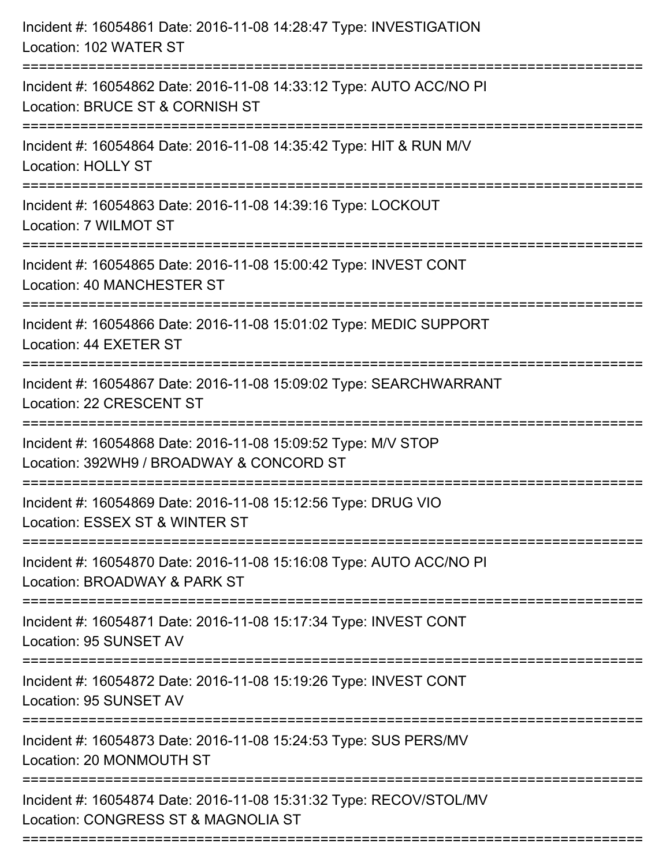| Incident #: 16054861 Date: 2016-11-08 14:28:47 Type: INVESTIGATION<br>Location: 102 WATER ST              |
|-----------------------------------------------------------------------------------------------------------|
| Incident #: 16054862 Date: 2016-11-08 14:33:12 Type: AUTO ACC/NO PI<br>Location: BRUCE ST & CORNISH ST    |
| Incident #: 16054864 Date: 2016-11-08 14:35:42 Type: HIT & RUN M/V<br><b>Location: HOLLY ST</b>           |
| Incident #: 16054863 Date: 2016-11-08 14:39:16 Type: LOCKOUT<br>Location: 7 WILMOT ST                     |
| Incident #: 16054865 Date: 2016-11-08 15:00:42 Type: INVEST CONT<br>Location: 40 MANCHESTER ST            |
| Incident #: 16054866 Date: 2016-11-08 15:01:02 Type: MEDIC SUPPORT<br>Location: 44 EXETER ST              |
| Incident #: 16054867 Date: 2016-11-08 15:09:02 Type: SEARCHWARRANT<br>Location: 22 CRESCENT ST            |
| Incident #: 16054868 Date: 2016-11-08 15:09:52 Type: M/V STOP<br>Location: 392WH9 / BROADWAY & CONCORD ST |
| Incident #: 16054869 Date: 2016-11-08 15:12:56 Type: DRUG VIO<br>Location: ESSEX ST & WINTER ST           |
| Incident #: 16054870 Date: 2016-11-08 15:16:08 Type: AUTO ACC/NO PI<br>Location: BROADWAY & PARK ST       |
| Incident #: 16054871 Date: 2016-11-08 15:17:34 Type: INVEST CONT<br>Location: 95 SUNSET AV                |
| Incident #: 16054872 Date: 2016-11-08 15:19:26 Type: INVEST CONT<br>Location: 95 SUNSET AV                |
| Incident #: 16054873 Date: 2016-11-08 15:24:53 Type: SUS PERS/MV<br>Location: 20 MONMOUTH ST              |
| Incident #: 16054874 Date: 2016-11-08 15:31:32 Type: RECOV/STOL/MV<br>Location: CONGRESS ST & MAGNOLIA ST |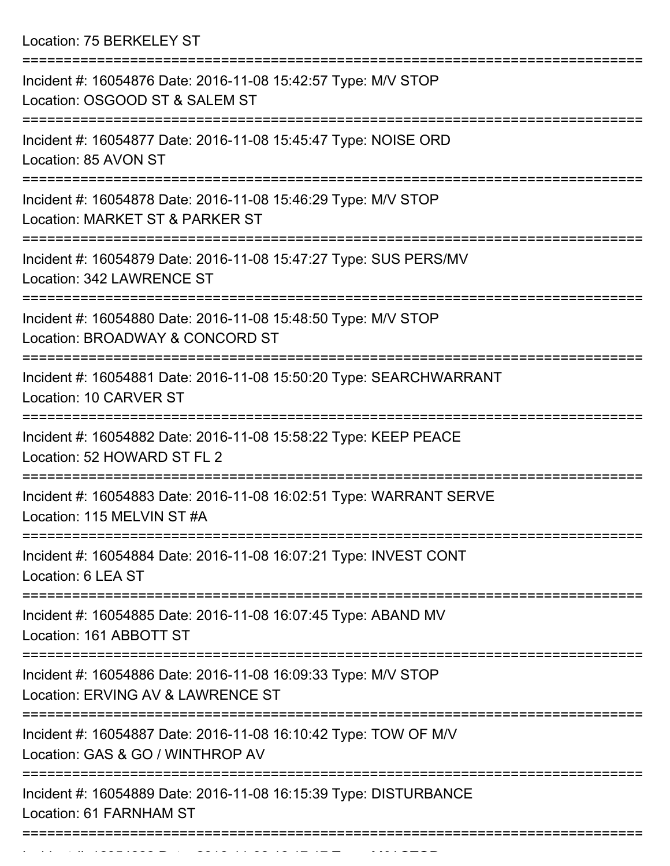Location: 75 BERKELEY ST

| Incident #: 16054876 Date: 2016-11-08 15:42:57 Type: M/V STOP<br>Location: OSGOOD ST & SALEM ST                       |
|-----------------------------------------------------------------------------------------------------------------------|
| Incident #: 16054877 Date: 2016-11-08 15:45:47 Type: NOISE ORD<br>Location: 85 AVON ST                                |
| Incident #: 16054878 Date: 2016-11-08 15:46:29 Type: M/V STOP<br>Location: MARKET ST & PARKER ST                      |
| Incident #: 16054879 Date: 2016-11-08 15:47:27 Type: SUS PERS/MV<br>Location: 342 LAWRENCE ST                         |
| Incident #: 16054880 Date: 2016-11-08 15:48:50 Type: M/V STOP<br>Location: BROADWAY & CONCORD ST                      |
| Incident #: 16054881 Date: 2016-11-08 15:50:20 Type: SEARCHWARRANT<br>Location: 10 CARVER ST                          |
| Incident #: 16054882 Date: 2016-11-08 15:58:22 Type: KEEP PEACE<br>Location: 52 HOWARD ST FL 2                        |
| Incident #: 16054883 Date: 2016-11-08 16:02:51 Type: WARRANT SERVE<br>Location: 115 MELVIN ST #A                      |
| Incident #: 16054884 Date: 2016-11-08 16:07:21 Type: INVEST CONT<br>Location: 6 LEA ST                                |
| =========================<br>Incident #: 16054885 Date: 2016-11-08 16:07:45 Type: ABAND MV<br>Location: 161 ABBOTT ST |
| Incident #: 16054886 Date: 2016-11-08 16:09:33 Type: M/V STOP<br>Location: ERVING AV & LAWRENCE ST                    |
| Incident #: 16054887 Date: 2016-11-08 16:10:42 Type: TOW OF M/V<br>Location: GAS & GO / WINTHROP AV                   |
| Incident #: 16054889 Date: 2016-11-08 16:15:39 Type: DISTURBANCE<br>Location: 61 FARNHAM ST                           |
|                                                                                                                       |

Incident #: 16054888 Date: 2016 11 08 16:17:17 Type: M/V STOP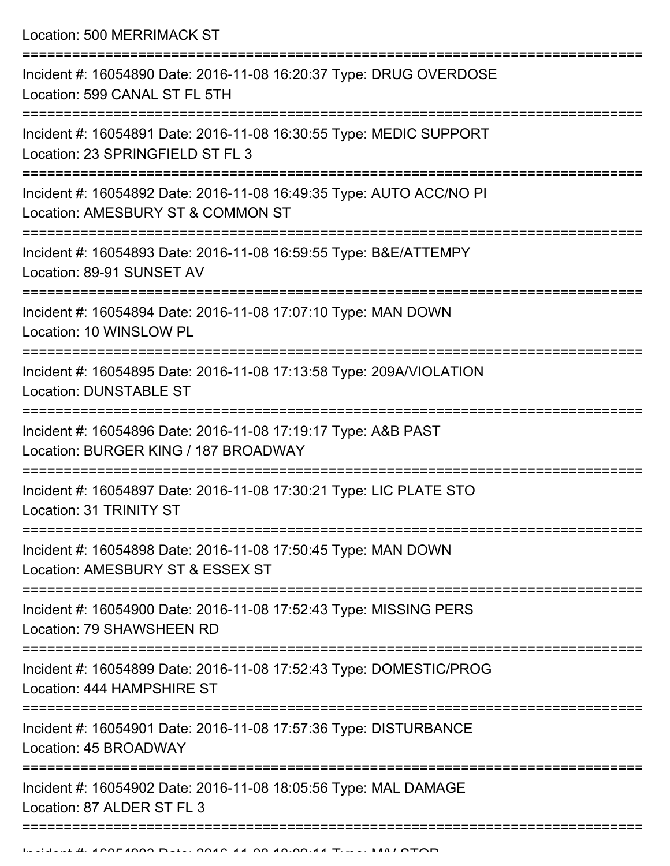Location: 500 MERRIMACK ST

| Incident #: 16054890 Date: 2016-11-08 16:20:37 Type: DRUG OVERDOSE<br>Location: 599 CANAL ST FL 5TH      |
|----------------------------------------------------------------------------------------------------------|
| Incident #: 16054891 Date: 2016-11-08 16:30:55 Type: MEDIC SUPPORT<br>Location: 23 SPRINGFIELD ST FL 3   |
| Incident #: 16054892 Date: 2016-11-08 16:49:35 Type: AUTO ACC/NO PI<br>Location: AMESBURY ST & COMMON ST |
| Incident #: 16054893 Date: 2016-11-08 16:59:55 Type: B&E/ATTEMPY<br>Location: 89-91 SUNSET AV            |
| Incident #: 16054894 Date: 2016-11-08 17:07:10 Type: MAN DOWN<br>Location: 10 WINSLOW PL                 |
| Incident #: 16054895 Date: 2016-11-08 17:13:58 Type: 209A/VIOLATION<br><b>Location: DUNSTABLE ST</b>     |
| Incident #: 16054896 Date: 2016-11-08 17:19:17 Type: A&B PAST<br>Location: BURGER KING / 187 BROADWAY    |
| Incident #: 16054897 Date: 2016-11-08 17:30:21 Type: LIC PLATE STO<br>Location: 31 TRINITY ST            |
| Incident #: 16054898 Date: 2016-11-08 17:50:45 Type: MAN DOWN<br>Location: AMESBURY ST & ESSEX ST        |
| Incident #: 16054900 Date: 2016-11-08 17:52:43 Type: MISSING PERS<br>Location: 79 SHAWSHEEN RD           |
| Incident #: 16054899 Date: 2016-11-08 17:52:43 Type: DOMESTIC/PROG<br>Location: 444 HAMPSHIRE ST         |
| Incident #: 16054901 Date: 2016-11-08 17:57:36 Type: DISTURBANCE<br>Location: 45 BROADWAY                |
| Incident #: 16054902 Date: 2016-11-08 18:05:56 Type: MAL DAMAGE<br>Location: 87 ALDER ST FL 3            |
|                                                                                                          |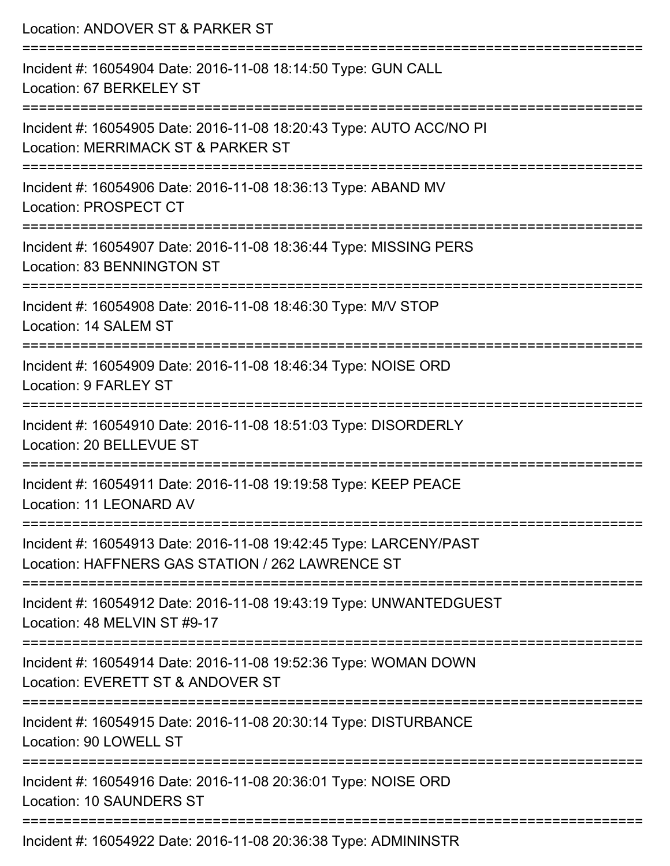| Location: ANDOVER ST & PARKER ST                                                                                      |
|-----------------------------------------------------------------------------------------------------------------------|
| Incident #: 16054904 Date: 2016-11-08 18:14:50 Type: GUN CALL<br>Location: 67 BERKELEY ST                             |
| Incident #: 16054905 Date: 2016-11-08 18:20:43 Type: AUTO ACC/NO PI<br>Location: MERRIMACK ST & PARKER ST             |
| Incident #: 16054906 Date: 2016-11-08 18:36:13 Type: ABAND MV<br>Location: PROSPECT CT                                |
| Incident #: 16054907 Date: 2016-11-08 18:36:44 Type: MISSING PERS<br>Location: 83 BENNINGTON ST                       |
| Incident #: 16054908 Date: 2016-11-08 18:46:30 Type: M/V STOP<br>Location: 14 SALEM ST                                |
| Incident #: 16054909 Date: 2016-11-08 18:46:34 Type: NOISE ORD<br>Location: 9 FARLEY ST                               |
| Incident #: 16054910 Date: 2016-11-08 18:51:03 Type: DISORDERLY<br>Location: 20 BELLEVUE ST                           |
| Incident #: 16054911 Date: 2016-11-08 19:19:58 Type: KEEP PEACE<br>Location: 11 LEONARD AV                            |
| Incident #: 16054913 Date: 2016-11-08 19:42:45 Type: LARCENY/PAST<br>Location: HAFFNERS GAS STATION / 262 LAWRENCE ST |
| Incident #: 16054912 Date: 2016-11-08 19:43:19 Type: UNWANTEDGUEST<br>Location: 48 MELVIN ST #9-17                    |
| Incident #: 16054914 Date: 2016-11-08 19:52:36 Type: WOMAN DOWN<br>Location: EVERETT ST & ANDOVER ST                  |
| Incident #: 16054915 Date: 2016-11-08 20:30:14 Type: DISTURBANCE<br>Location: 90 LOWELL ST                            |
| Incident #: 16054916 Date: 2016-11-08 20:36:01 Type: NOISE ORD<br><b>Location: 10 SAUNDERS ST</b>                     |
| Incident #: 16054922 Date: 2016-11-08 20:36:38 Type: ADMININSTR                                                       |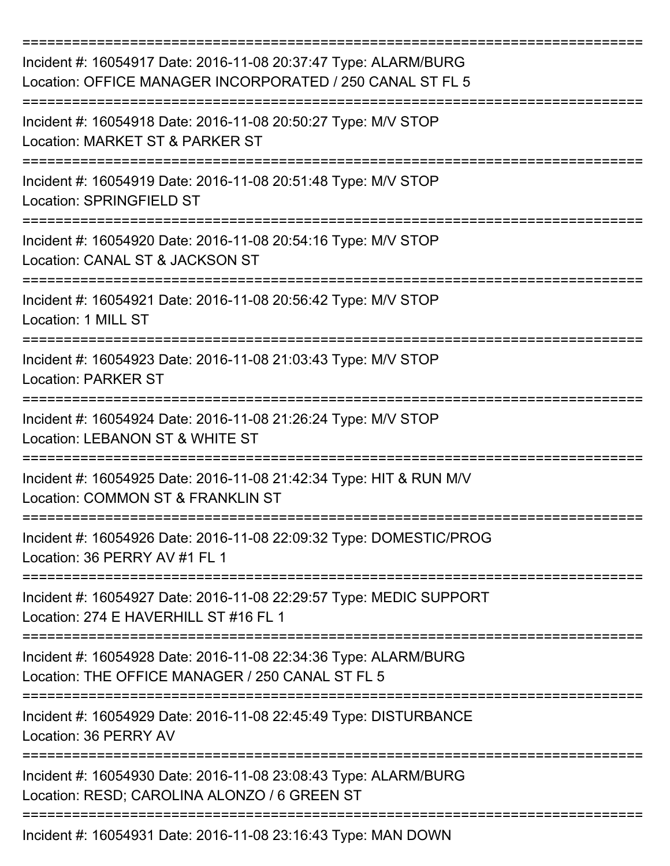| Incident #: 16054917 Date: 2016-11-08 20:37:47 Type: ALARM/BURG<br>Location: OFFICE MANAGER INCORPORATED / 250 CANAL ST FL 5   |
|--------------------------------------------------------------------------------------------------------------------------------|
| Incident #: 16054918 Date: 2016-11-08 20:50:27 Type: M/V STOP<br>Location: MARKET ST & PARKER ST                               |
| Incident #: 16054919 Date: 2016-11-08 20:51:48 Type: M/V STOP<br><b>Location: SPRINGFIELD ST</b>                               |
| Incident #: 16054920 Date: 2016-11-08 20:54:16 Type: M/V STOP<br>Location: CANAL ST & JACKSON ST                               |
| Incident #: 16054921 Date: 2016-11-08 20:56:42 Type: M/V STOP<br>Location: 1 MILL ST<br>-------------------------------------- |
| Incident #: 16054923 Date: 2016-11-08 21:03:43 Type: M/V STOP<br><b>Location: PARKER ST</b>                                    |
| Incident #: 16054924 Date: 2016-11-08 21:26:24 Type: M/V STOP<br>Location: LEBANON ST & WHITE ST                               |
| Incident #: 16054925 Date: 2016-11-08 21:42:34 Type: HIT & RUN M/V<br>Location: COMMON ST & FRANKLIN ST                        |
| Incident #: 16054926 Date: 2016-11-08 22:09:32 Type: DOMESTIC/PROG<br>Location: 36 PERRY AV #1 FL 1                            |
| Incident #: 16054927 Date: 2016-11-08 22:29:57 Type: MEDIC SUPPORT<br>Location: 274 E HAVERHILL ST #16 FL 1                    |
| Incident #: 16054928 Date: 2016-11-08 22:34:36 Type: ALARM/BURG<br>Location: THE OFFICE MANAGER / 250 CANAL ST FL 5            |
| Incident #: 16054929 Date: 2016-11-08 22:45:49 Type: DISTURBANCE<br>Location: 36 PERRY AV                                      |
| Incident #: 16054930 Date: 2016-11-08 23:08:43 Type: ALARM/BURG<br>Location: RESD; CAROLINA ALONZO / 6 GREEN ST                |
| Incident #: 16054931 Date: 2016-11-08 23:16:43 Type: MAN DOWN                                                                  |